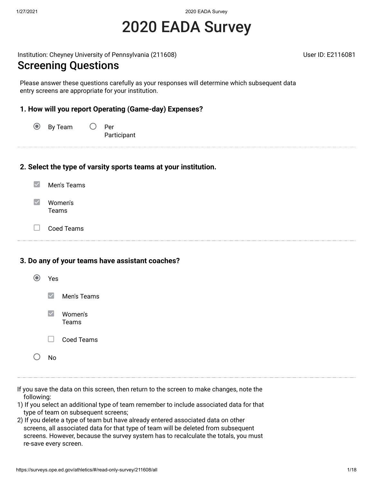# 2020 EADA Survey

Institution: Cheyney University of Pennsylvania (211608) New York Cheynese Engines and Museum User ID: E2116081

### Screening Questions

Please answer these questions carefully as your responses will determine which subsequent data entry screens are appropriate for your institution.

#### **1. How will you report Operating (Game-day) Expenses?**

 $\odot$ By Team  $\bigcirc$  Per Participant

#### **2. Select the type of varsity sports teams at your institution.**

- $\blacktriangledown$ Men's Teams
- $\blacktriangledown$ Women's Teams
- $\Box$ Coed Teams

#### **3. Do any of your teams have assistant coaches?**

| Yes    |                         |
|--------|-------------------------|
|        | $\vee$ Men's Teams      |
|        | $\vee$ Women's<br>Teams |
| $\Box$ | Coed Teams              |
| N۵     |                         |

- If you save the data on this screen, then return to the screen to make changes, note the following:
- 1) If you select an additional type of team remember to include associated data for that type of team on subsequent screens;
- 2) If you delete a type of team but have already entered associated data on other screens, all associated data for that type of team will be deleted from subsequent screens. However, because the survey system has to recalculate the totals, you must re-save every screen.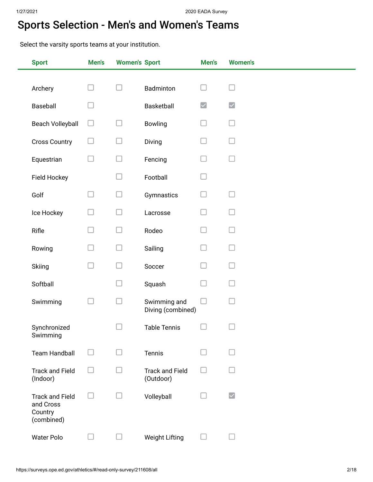# Sports Selection - Men's and Women's Teams

Select the varsity sports teams at your institution.

| <b>Sport</b>                                                 | Men's  | <b>Women's Sport</b> |                                     | Men's                | <b>Women's</b>       |
|--------------------------------------------------------------|--------|----------------------|-------------------------------------|----------------------|----------------------|
|                                                              |        |                      |                                     |                      |                      |
| Archery                                                      | H      | $\Box$               | Badminton                           |                      |                      |
| Baseball                                                     |        |                      | Basketball                          | $\blacktriangledown$ | $\blacktriangledown$ |
| <b>Beach Volleyball</b>                                      | □      | $\Box$               | Bowling                             |                      |                      |
| <b>Cross Country</b>                                         |        | $\Box$               | Diving                              |                      |                      |
| Equestrian                                                   | $\Box$ | □                    | Fencing                             |                      |                      |
| Field Hockey                                                 |        | $\Box$               | Football                            |                      |                      |
| Golf                                                         | $\Box$ | $\Box$               | Gymnastics                          |                      |                      |
| Ice Hockey                                                   |        | $\Box$               | Lacrosse                            |                      |                      |
| Rifle                                                        |        | $\Box$               | Rodeo                               |                      |                      |
| Rowing                                                       |        | $\Box$               | Sailing                             |                      |                      |
| Skiing                                                       |        | $\Box$               | Soccer                              |                      |                      |
| Softball                                                     |        | $\Box$               | Squash                              |                      |                      |
| Swimming                                                     |        | $\Box$               | Swimming and<br>Diving (combined)   |                      |                      |
| Synchronized<br>Swimming                                     |        |                      | <b>Table Tennis</b>                 |                      |                      |
| <b>Team Handball</b>                                         | ப      | $\mathbf{L}$         | Tennis                              |                      |                      |
| <b>Track and Field</b><br>(Indoor)                           |        | H                    | <b>Track and Field</b><br>(Outdoor) |                      |                      |
| <b>Track and Field</b><br>and Cross<br>Country<br>(combined) | ப      | □                    | Volleyball                          |                      | $\blacktriangledown$ |
| <b>Water Polo</b>                                            |        | ⊔                    | <b>Weight Lifting</b>               |                      |                      |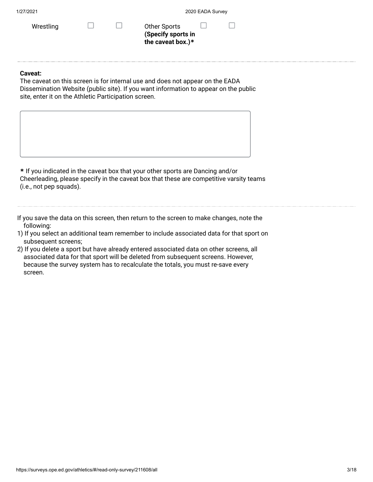| Wrestling |  |
|-----------|--|
|-----------|--|

 $\Box$  Other Sports П **(Specify sports in the caveat box.)\***

#### **Caveat:**

The caveat on this screen is for internal use and does not appear on the EADA Dissemination Website (public site). If you want information to appear on the public site, enter it on the Athletic Participation screen.

**\*** If you indicated in the caveat box that your other sports are Dancing and/or Cheerleading, please specify in the caveat box that these are competitive varsity teams (i.e., not pep squads).

If you save the data on this screen, then return to the screen to make changes, note the following:

- 1) If you select an additional team remember to include associated data for that sport on subsequent screens;
- 2) If you delete a sport but have already entered associated data on other screens, all associated data for that sport will be deleted from subsequent screens. However, because the survey system has to recalculate the totals, you must re-save every screen.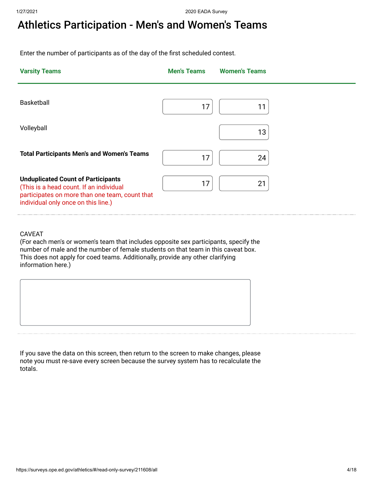# Athletics Participation - Men's and Women's Teams

Enter the number of participants as of the day of the first scheduled contest.

| <b>Varsity Teams</b>                                                                                                                                                          | <b>Men's Teams</b> | <b>Women's Teams</b> |
|-------------------------------------------------------------------------------------------------------------------------------------------------------------------------------|--------------------|----------------------|
| <b>Basketball</b>                                                                                                                                                             | 17                 | 11                   |
| Volleyball                                                                                                                                                                    |                    | 13                   |
| <b>Total Participants Men's and Women's Teams</b>                                                                                                                             | 17                 | 24                   |
| <b>Unduplicated Count of Participants</b><br>(This is a head count. If an individual<br>participates on more than one team, count that<br>individual only once on this line.) | 17                 | 21                   |

#### CAVEAT

(For each men's or women's team that includes opposite sex participants, specify the number of male and the number of female students on that team in this caveat box. This does not apply for coed teams. Additionally, provide any other clarifying information here.)



If you save the data on this screen, then return to the screen to make changes, please note you must re-save every screen because the survey system has to recalculate the totals.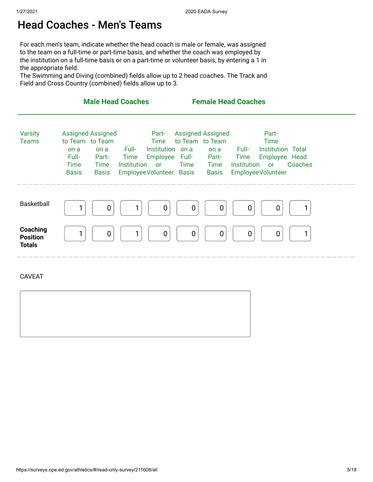### Head Coaches - Men's Teams

For each men's team, indicate whether the head coach is male or female, was assigned to the team on a full-time or part-time basis, and whether the coach was employed by the institution on a full-time basis or on a part-time or volunteer basis, by entering a 1 in the appropriate field.

The Swimming and Diving (combined) fields allow up to 2 head coaches. The Track and Field and Cross Country (combined) fields allow up to 3.

|                                              | <b>Male Head Coaches</b>                                                                                                                                                                                                                                | <b>Female Head Coaches</b>                                                                                                                                                                                                                                |   |
|----------------------------------------------|---------------------------------------------------------------------------------------------------------------------------------------------------------------------------------------------------------------------------------------------------------|-----------------------------------------------------------------------------------------------------------------------------------------------------------------------------------------------------------------------------------------------------------|---|
| <b>Varsity</b><br><b>Teams</b>               | <b>Assigned Assigned</b><br>Part-<br>to Team to Team<br>Time<br>Full-<br>Institution on a<br>on a<br>on a<br>Full-<br>Employee<br><b>Time</b><br>Part-<br>Institution<br>Time<br>Time<br>or<br>Employee Volunteer Basis<br><b>Basis</b><br><b>Basis</b> | <b>Assigned Assigned</b><br>Part-<br>to Team to Team<br><b>Time</b><br><b>Institution Total</b><br>Full-<br>on a<br>Full- Part-<br>Employee Head<br>Time<br>Institution<br>Coaches<br>Time<br>Time<br>$\mathsf{or}$<br>Employee Volunteer<br><b>Basis</b> |   |
| Basketball                                   | 0<br>$\overline{0}$                                                                                                                                                                                                                                     | 0<br>0<br>0<br>$\overline{0}$                                                                                                                                                                                                                             |   |
| Coaching<br><b>Position</b><br><b>Totals</b> | 1<br>0<br>1<br>$\mathbf 0$                                                                                                                                                                                                                              | $\pmb{0}$<br>$\mathbf 0$<br>0<br>$\mathbf 0$                                                                                                                                                                                                              | 1 |
| <b>CAVEAT</b>                                |                                                                                                                                                                                                                                                         |                                                                                                                                                                                                                                                           |   |
|                                              |                                                                                                                                                                                                                                                         |                                                                                                                                                                                                                                                           |   |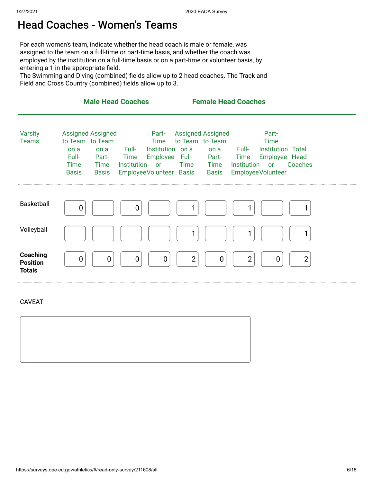### Head Coaches - Women's Teams

For each women's team, indicate whether the head coach is male or female, was assigned to the team on a full-time or part-time basis, and whether the coach was employed by the institution on a full-time basis or on a part-time or volunteer basis, by entering a 1 in the appropriate field.

The Swimming and Diving (combined) fields allow up to 2 head coaches. The Track and Field and Cross Country (combined) fields allow up to 3.

|                                              | <b>Male Head Coaches</b>                                                                                                             |                                                                                                                   | <b>Female Head Coaches</b>                                                                                             |                                                                                                                         |
|----------------------------------------------|--------------------------------------------------------------------------------------------------------------------------------------|-------------------------------------------------------------------------------------------------------------------|------------------------------------------------------------------------------------------------------------------------|-------------------------------------------------------------------------------------------------------------------------|
| <b>Varsity</b><br><b>Teams</b>               | <b>Assigned Assigned</b><br>to Team to Team<br>on a<br>on a<br>Full-<br>Part-<br><b>Time</b><br>Time<br><b>Basis</b><br><b>Basis</b> | Part-<br>Time<br>Institution on a<br>Full-<br><b>Time</b><br>Institution<br><b>or</b><br>Employee Volunteer Basis | <b>Assigned Assigned</b><br>to Team to Team<br>on a Full-<br>Employee Full- Part- Time<br>Time<br>Time<br><b>Basis</b> | Part-<br><b>Time</b><br><b>Institution Total</b><br>Employee Head<br>Institution<br>Coaches<br>or<br>Employee Volunteer |
| Basketball                                   | 0                                                                                                                                    | 0                                                                                                                 | 1                                                                                                                      |                                                                                                                         |
| Volleyball                                   |                                                                                                                                      |                                                                                                                   | 1                                                                                                                      | 1                                                                                                                       |
| Coaching<br><b>Position</b><br><b>Totals</b> | $\overline{0}$<br>0                                                                                                                  | 0<br>$\mathbf 0$                                                                                                  | $\overline{2}$<br>0                                                                                                    | $\overline{2}$<br>$\overline{2}$<br>0                                                                                   |

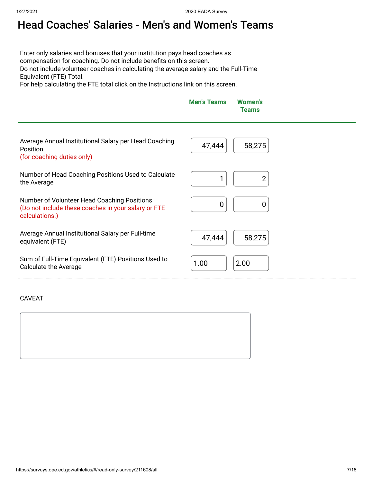# Head Coaches' Salaries - Men's and Women's Teams

Enter only salaries and bonuses that your institution pays head coaches as compensation for coaching. Do not include benefits on this screen. Do not include volunteer coaches in calculating the average salary and the Full-Time Equivalent (FTE) Total.

For help calculating the FTE total click on the Instructions link on this screen.

| <b>Men's Teams</b> | <b>Women's</b><br><b>Teams</b> |
|--------------------|--------------------------------|
|                    |                                |

| Average Annual Institutional Salary per Head Coaching<br><b>Position</b><br>(for coaching duties only)               | 58,275<br>47,444 |
|----------------------------------------------------------------------------------------------------------------------|------------------|
| Number of Head Coaching Positions Used to Calculate<br>the Average                                                   |                  |
| Number of Volunteer Head Coaching Positions<br>(Do not include these coaches in your salary or FTE<br>calculations.) | 0                |
| Average Annual Institutional Salary per Full-time<br>equivalent (FTE)                                                | 47,444<br>58,275 |
| Sum of Full-Time Equivalent (FTE) Positions Used to<br>Calculate the Average                                         | 2.00<br>1.00     |

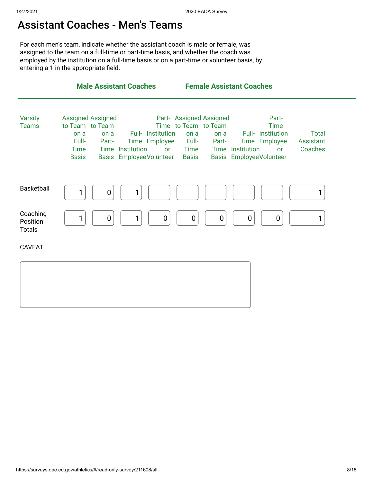### Assistant Coaches - Men's Teams

For each men's team, indicate whether the assistant coach is male or female, was assigned to the team on a full-time or part-time basis, and whether the coach was employed by the institution on a full-time basis or on a part-time or volunteer basis, by entering a 1 in the appropriate field.

|                                       | <b>Male Assistant Coaches</b>                                                                                                                                                                     | <b>Female Assistant Coaches</b>                                                                                                                                                                                                                         |                                      |
|---------------------------------------|---------------------------------------------------------------------------------------------------------------------------------------------------------------------------------------------------|---------------------------------------------------------------------------------------------------------------------------------------------------------------------------------------------------------------------------------------------------------|--------------------------------------|
| <b>Varsity</b><br><b>Teams</b>        | <b>Assigned Assigned</b><br>to Team to Team<br>Full- Institution<br>on a<br>on a<br>Full-<br>Time Employee<br>Part-<br><b>Time</b><br>Time Institution<br><b>Basis</b><br>Basis EmployeeVolunteer | Part- Assigned Assigned<br>Part-<br>Time to Team to Team<br><b>Time</b><br>Full- Institution<br>on a<br>on a<br>Full-<br>Time Employee<br><b>Part-</b><br>Time Institution<br><b>Time</b><br>or<br>or<br><b>Basis</b><br><b>Basis EmployeeVolunteer</b> | <b>Total</b><br>Assistant<br>Coaches |
| Basketball                            | 0                                                                                                                                                                                                 |                                                                                                                                                                                                                                                         |                                      |
| Coaching<br>Position<br><b>Totals</b> | 1<br>0                                                                                                                                                                                            | $\overline{0}$<br>$\mathbf 0$<br>0<br>0<br>0                                                                                                                                                                                                            |                                      |
| <b>CAVEAT</b>                         |                                                                                                                                                                                                   |                                                                                                                                                                                                                                                         |                                      |
|                                       |                                                                                                                                                                                                   |                                                                                                                                                                                                                                                         |                                      |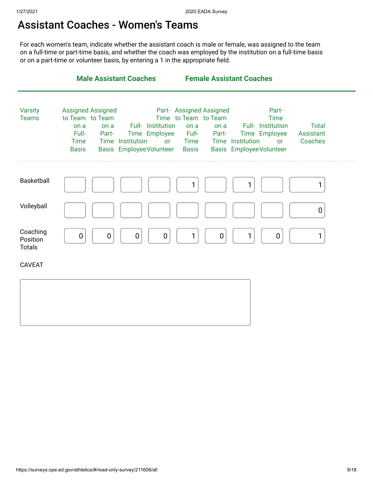### Assistant Coaches - Women's Teams

For each women's team, indicate whether the assistant coach is male or female, was assigned to the team on a full-time or part-time basis, and whether the coach was employed by the institution on a full-time basis or on a part-time or volunteer basis, by entering a 1 in the appropriate field.

|                                       | <b>Male Assistant Coaches</b>                                                                                                                               |                                                                                                                                                    | <b>Female Assistant Coaches</b>                                                                                                   |                                      |
|---------------------------------------|-------------------------------------------------------------------------------------------------------------------------------------------------------------|----------------------------------------------------------------------------------------------------------------------------------------------------|-----------------------------------------------------------------------------------------------------------------------------------|--------------------------------------|
| <b>Varsity</b><br><b>Teams</b>        | <b>Assigned Assigned</b><br>to Team to Team<br>on a<br>on a<br>Full-<br>Part-<br>Time Institution<br><b>Time</b><br>Basis EmployeeVolunteer<br><b>Basis</b> | Part- Assigned Assigned<br>Time to Team to Team<br>Full- Institution<br>on a<br>Time Employee<br>Full-<br><b>Time</b><br><b>or</b><br><b>Basis</b> | Part-<br><b>Time</b><br>Full- Institution<br>on a<br>Time Employee<br>Part-<br>Time Institution<br>or<br>Basis Employee Volunteer | <b>Total</b><br>Assistant<br>Coaches |
| <b>Basketball</b>                     |                                                                                                                                                             |                                                                                                                                                    |                                                                                                                                   | 1                                    |
| Volleyball                            |                                                                                                                                                             |                                                                                                                                                    |                                                                                                                                   | 0                                    |
| Coaching<br>Position<br><b>Totals</b> | $\mathbf 0$<br>0<br>$\mathbf 0$                                                                                                                             | $\boldsymbol{0}$<br>1                                                                                                                              | $\boldsymbol{0}$<br>1<br>0                                                                                                        | 1                                    |
| <b>CAVEAT</b>                         |                                                                                                                                                             |                                                                                                                                                    |                                                                                                                                   |                                      |
|                                       |                                                                                                                                                             |                                                                                                                                                    |                                                                                                                                   |                                      |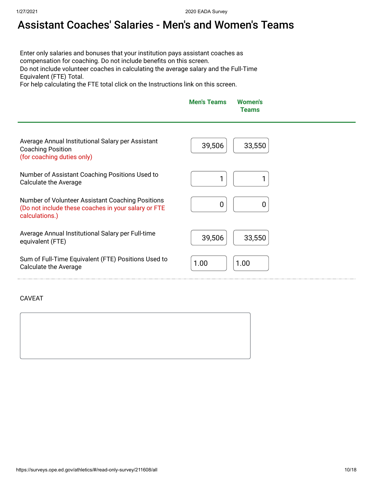# Assistant Coaches' Salaries - Men's and Women's Teams

Enter only salaries and bonuses that your institution pays assistant coaches as compensation for coaching. Do not include benefits on this screen. Do not include volunteer coaches in calculating the average salary and the Full-Time Equivalent (FTE) Total.

For help calculating the FTE total click on the Instructions link on this screen.

|                                                                                                                           | <b>Men's Teams</b> | <b>Women's</b><br><b>Teams</b> |
|---------------------------------------------------------------------------------------------------------------------------|--------------------|--------------------------------|
| Average Annual Institutional Salary per Assistant<br><b>Coaching Position</b><br>(for coaching duties only)               | 39,506             | 33,550                         |
| Number of Assistant Coaching Positions Used to<br><b>Calculate the Average</b>                                            |                    |                                |
| Number of Volunteer Assistant Coaching Positions<br>(Do not include these coaches in your salary or FTE<br>calculations.) | 0                  | 0                              |
| Average Annual Institutional Salary per Full-time<br>equivalent (FTE)                                                     | 39,506             | 33,550                         |
| Sum of Full-Time Equivalent (FTE) Positions Used to<br><b>Calculate the Average</b>                                       | 1.00               | 1.00                           |
|                                                                                                                           |                    |                                |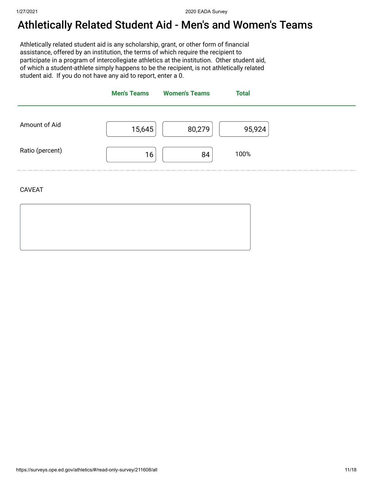# Athletically Related Student Aid - Men's and Women's Teams

Athletically related student aid is any scholarship, grant, or other form of financial assistance, offered by an institution, the terms of which require the recipient to participate in a program of intercollegiate athletics at the institution. Other student aid, of which a student-athlete simply happens to be the recipient, is not athletically related student aid. If you do not have any aid to report, enter a 0.



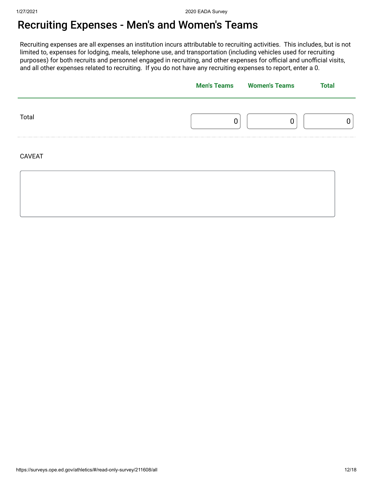# Recruiting Expenses - Men's and Women's Teams

Recruiting expenses are all expenses an institution incurs attributable to recruiting activities. This includes, but is not limited to, expenses for lodging, meals, telephone use, and transportation (including vehicles used for recruiting purposes) for both recruits and personnel engaged in recruiting, and other expenses for official and unofficial visits, and all other expenses related to recruiting. If you do not have any recruiting expenses to report, enter a 0.

|               | <b>Men's Teams</b> Women's Teams | <b>Total</b> |  |
|---------------|----------------------------------|--------------|--|
| Total         |                                  |              |  |
| <b>CAVEAT</b> |                                  |              |  |
|               |                                  |              |  |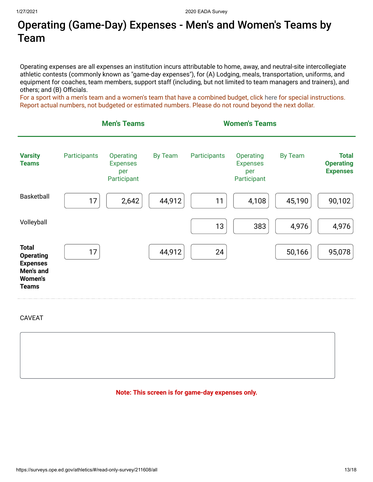# Operating (Game-Day) Expenses - Men's and Women's Teams by Team

Operating expenses are all expenses an institution incurs attributable to home, away, and neutral-site intercollegiate athletic contests (commonly known as "game-day expenses"), for (A) Lodging, meals, transportation, uniforms, and equipment for coaches, team members, support staff (including, but not limited to team managers and trainers), and others; and (B) Officials.

For a sport with a men's team and a women's team that have a combined budget, click [here](https://surveys.ope.ed.gov/athletics2k20/wwwroot/documents/inst_1.pdf) for special instructions. Report actual numbers, not budgeted or estimated numbers. Please do not round beyond the next dollar.



CAVEAT

#### **Note: This screen is for game-day expenses only.**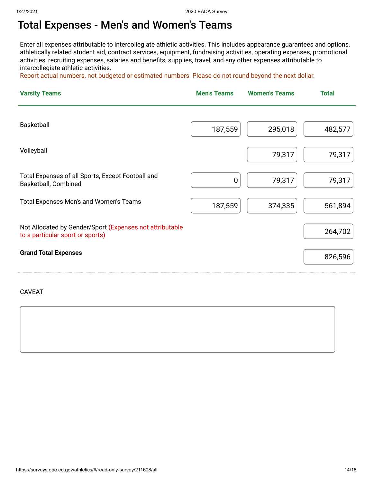### Total Expenses - Men's and Women's Teams

Enter all expenses attributable to intercollegiate athletic activities. This includes appearance guarantees and options, athletically related student aid, contract services, equipment, fundraising activities, operating expenses, promotional activities, recruiting expenses, salaries and benefits, supplies, travel, and any other expenses attributable to intercollegiate athletic activities.

Report actual numbers, not budgeted or estimated numbers. Please do not round beyond the next dollar.

| <b>Varsity Teams</b>                                                                         | <b>Men's Teams</b> | <b>Women's Teams</b> | <b>Total</b> |
|----------------------------------------------------------------------------------------------|--------------------|----------------------|--------------|
| <b>Basketball</b>                                                                            | 187,559            | 295,018              | 482,577      |
| Volleyball                                                                                   |                    | 79,317               | 79,317       |
| Total Expenses of all Sports, Except Football and<br>Basketball, Combined                    | 0                  | 79,317               | 79,317       |
| Total Expenses Men's and Women's Teams                                                       | 187,559            | 374,335              | 561,894      |
| Not Allocated by Gender/Sport (Expenses not attributable<br>to a particular sport or sports) |                    |                      | 264,702      |
| <b>Grand Total Expenses</b>                                                                  |                    |                      | 826,596      |

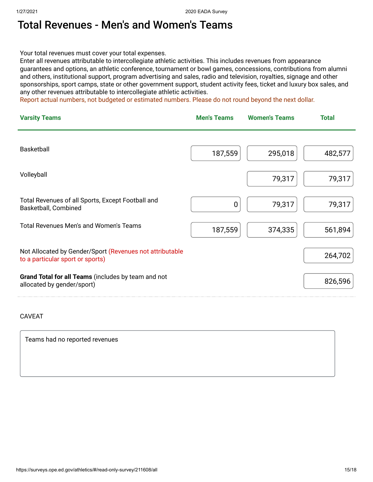### Total Revenues - Men's and Women's Teams

Your total revenues must cover your total expenses.

Enter all revenues attributable to intercollegiate athletic activities. This includes revenues from appearance guarantees and options, an athletic conference, tournament or bowl games, concessions, contributions from alumni and others, institutional support, program advertising and sales, radio and television, royalties, signage and other sponsorships, sport camps, state or other government support, student activity fees, ticket and luxury box sales, and any other revenues attributable to intercollegiate athletic activities.

Report actual numbers, not budgeted or estimated numbers. Please do not round beyond the next dollar.

| <b>Varsity Teams</b>                                                                         | <b>Men's Teams</b> | <b>Women's Teams</b> | <b>Total</b> |
|----------------------------------------------------------------------------------------------|--------------------|----------------------|--------------|
| <b>Basketball</b>                                                                            | 187,559            | 295,018              | 482,577      |
| Volleyball                                                                                   |                    | 79,317               | 79,317       |
| Total Revenues of all Sports, Except Football and<br>Basketball, Combined                    | $\mathbf 0$        | 79,317               | 79,317       |
| <b>Total Revenues Men's and Women's Teams</b>                                                | 187,559            | 374,335              | 561,894      |
| Not Allocated by Gender/Sport (Revenues not attributable<br>to a particular sport or sports) |                    |                      | 264,702      |
| Grand Total for all Teams (includes by team and not<br>allocated by gender/sport)            |                    |                      | 826,596      |

#### CAVEAT

Teams had no reported revenues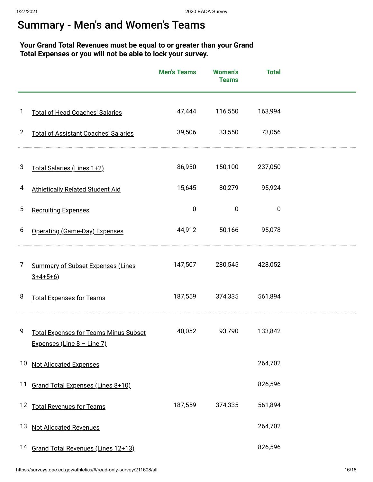### Summary - Men's and Women's Teams

### **Your Grand Total Revenues must be equal to or greater than your Grand Total Expenses or you will not be able to lock your survey.**

|                |                                                                            | <b>Men's Teams</b> | <b>Women's</b><br><b>Teams</b> | <b>Total</b> |  |
|----------------|----------------------------------------------------------------------------|--------------------|--------------------------------|--------------|--|
| 1              | <b>Total of Head Coaches' Salaries</b>                                     | 47,444             | 116,550                        | 163,994      |  |
| $\overline{2}$ | <b>Total of Assistant Coaches' Salaries</b>                                | 39,506             | 33,550                         | 73,056       |  |
| 3              | Total Salaries (Lines 1+2)                                                 | 86,950             | 150,100                        | 237,050      |  |
| 4              | <b>Athletically Related Student Aid</b>                                    | 15,645             | 80,279                         | 95,924       |  |
| 5              | <b>Recruiting Expenses</b>                                                 | $\pmb{0}$          | $\mathbf 0$                    | $\mathbf 0$  |  |
| 6              | Operating (Game-Day) Expenses                                              | 44,912             | 50,166                         | 95,078       |  |
| 7              | <b>Summary of Subset Expenses (Lines</b><br>$3+4+5+6$ )                    | 147,507            | 280,545                        | 428,052      |  |
| 8              | <b>Total Expenses for Teams</b>                                            | 187,559            | 374,335                        | 561,894      |  |
| 9              | <b>Total Expenses for Teams Minus Subset</b><br>Expenses (Line 8 - Line 7) | 40,052             | 93,790                         | 133,842      |  |
|                | 10 Not Allocated Expenses                                                  |                    |                                | 264,702      |  |
| 11             | Grand Total Expenses (Lines 8+10)                                          |                    |                                | 826,596      |  |
|                | 12 Total Revenues for Teams                                                | 187,559            | 374,335                        | 561,894      |  |
| 13             | <b>Not Allocated Revenues</b>                                              |                    |                                | 264,702      |  |
|                | 14 Grand Total Revenues (Lines 12+13)                                      |                    |                                | 826,596      |  |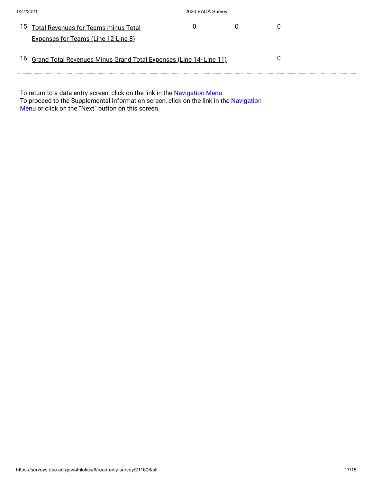| 1/27/2021                                                             | 2020 EADA Survey |  |
|-----------------------------------------------------------------------|------------------|--|
| <sup>15</sup> Total Revenues for Teams minus Total                    |                  |  |
| <b>Expenses for Teams (Line 12-Line 8)</b>                            |                  |  |
| 16 Grand Total Revenues Minus Grand Total Expenses (Line 14- Line 11) |                  |  |

To return to a data entry screen, click on the link in the <mark>Navigation Menu.</mark> To proceed to the Supplemental Information screen, click on the link in the Navigation Menu or click on the "Next" button on this screen.